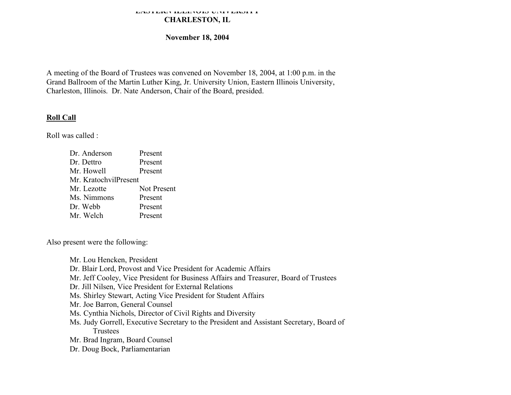#### **EASTERN ILLINOIS UNIVERSITY CHARLESTON, IL**

## **November 18, 2004**

A meeting of the Board of Trustees was convened on November 18, 2004, at 1:00 p.m. in the Grand Ballroom of the Martin Luther King, Jr. University Union, Eastern Illinois University, Charleston, Illinois. Dr. Nate Anderson, Chair of the Board, presided.

# **Roll Call**

Roll was called :

| Dr. Anderson          | Present     |
|-----------------------|-------------|
| Dr. Dettro            | Present     |
| Mr. Howell            | Present     |
| Mr. KratochvilPresent |             |
| Mr. Lezotte           | Not Present |
| Ms. Nimmons           | Present     |
| Dr. Webb              | Present     |
| Mr. Welch             | Present     |
|                       |             |

Also present were the following:

Mr. Lou Hencken, President Dr. Blair Lord, Provost and Vice President for Academic Affairs Mr. Jeff Cooley, Vice President for Business Affairs and Treasurer, Board of Trustees Dr. Jill Nilsen, Vice President for External Relations Ms. Shirley Stewart, Acting Vice President for Student Affairs Mr. Joe Barron, General Counsel Ms. Cynthia Nichols, Director of Civil Rights and Diversity Ms. Judy Gorrell, Executive Secretary to the President and Assistant Secretary, Board of Trustees Mr. Brad Ingram, Board Counsel Dr. Doug Bock, Parliamentarian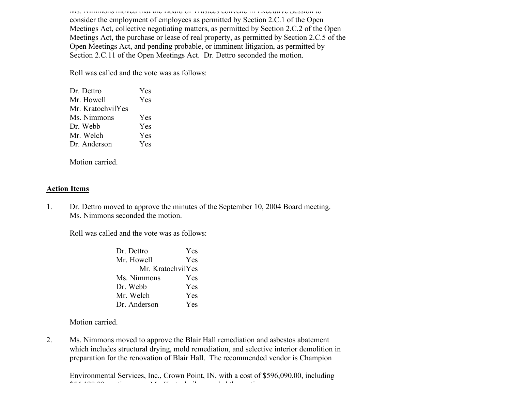Ms. Nimmons moved that the Board of Trustees convene in Executive Session to consider the employment of employees as permitted by Section 2.C.1 of the Open Meetings Act, collective negotiating matters, as permitted by Section 2.C.2 of the Open Meetings Act, the purchase or lease of real property, as permitted by Section 2.C.5 of the Open Meetings Act, and pending probable, or imminent litigation, as permitted by Section 2.C.11 of the Open Meetings Act. Dr. Dettro seconded the motion.

Roll was called and the vote was as follows:

| Dr. Dettro        | Yes        |
|-------------------|------------|
| Mr. Howell        | Yes        |
| Mr. KratochvilYes |            |
| Ms. Nimmons       | <b>Yes</b> |
| Dr Webb           | Yes        |
| Mr. Welch         | Yes        |
| Dr Anderson       | Yes        |
|                   |            |

Motion carried.

## **Action Items**

1. Dr. Dettro moved to approve the minutes of the September 10, 2004 Board meeting. Ms. Nimmons seconded the motion.

Roll was called and the vote was as follows:

| Dr. Dettro        | Yes |  |
|-------------------|-----|--|
| Mr. Howell        | Yes |  |
| Mr. KratochvilYes |     |  |
| Ms. Nimmons       | Yes |  |
| Dr. Webb          | Yes |  |
| Mr. Welch         | Yes |  |
| Dr. Anderson      | Yes |  |

Motion carried.

2. Ms. Nimmons moved to approve the Blair Hall remediation and asbestos abatement which includes structural drying, mold remediation, and selective interior demolition in preparation for the renovation of Blair Hall. The recommended vendor is Champion

Environmental Services, Inc., Crown Point, IN, with a cost of \$596,090.00, including  $554,1900,00$ contingency. Mr. Kratochvil seconded the motion. Mr.  $\frac{1}{2}$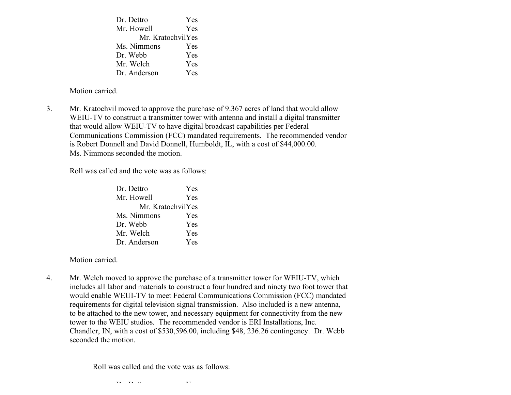Dr. Dettro Yes Mr. Howell Yes Mr. KratochvilYes Ms. Nimmons Yes Dr. Webb Yes Mr. Welch Yes Dr. Anderson Yes

Motion carried.

3. Mr. Kratochvil moved to approve the purchase of 9.367 acres of land that would allow WEIU-TV to construct a transmitter tower with antenna and install a digital transmitter that would allow WEIU-TV to have digital broadcast capabilities per Federal Communications Commission (FCC) mandated requirements. The recommended vendor is Robert Donnell and David Donnell, Humboldt, IL, with a cost of \$44,000.00. Ms. Nimmons seconded the motion.

Roll was called and the vote was as follows:

| Dr. Dettro        | Yes |  |
|-------------------|-----|--|
| Mr. Howell        | Yes |  |
| Mr. KratochvilYes |     |  |
| Ms. Nimmons       | Yes |  |
| Dr. Webb          | Yes |  |
| Mr. Welch         | Yes |  |
| Dr. Anderson      | Yes |  |

Motion carried.

4. Mr. Welch moved to approve the purchase of a transmitter tower for WEIU-TV, which includes all labor and materials to construct a four hundred and ninety two foot tower that would enable WEUI-TV to meet Federal Communications Commission (FCC) mandated requirements for digital television signal transmission. Also included is a new antenna, to be attached to the new tower, and necessary equipment for connectivity from the new tower to the WEIU studios. The recommended vendor is ERI Installations, Inc. Chandler, IN, with a cost of \$530,596.00, including \$48, 236.26 contingency. Dr. Webb seconded the motion.

Roll was called and the vote was as follows:

Dr. Dettro Yes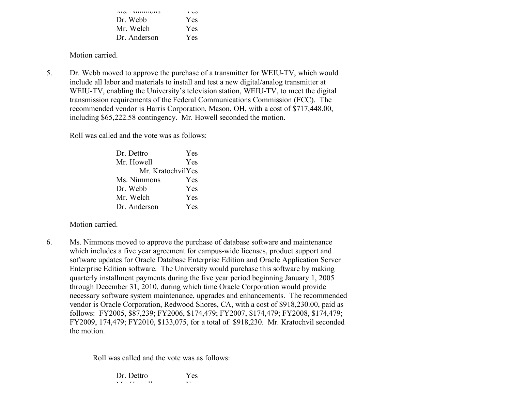| 1715. TVIIIIIIIIUII5 | دن 1       |
|----------------------|------------|
| Dr. Webb             | Yes        |
| Mr. Welch            | <b>Yes</b> |
| Dr. Anderson         | Yes        |

5. Dr. Webb moved to approve the purchase of a transmitter for WEIU-TV, which would include all labor and materials to install and test a new digital/analog transmitter at WEIU-TV, enabling the University's television station, WEIU-TV, to meet the digital transmission requirements of the Federal Communications Commission (FCC). The recommended vendor is Harris Corporation, Mason, OH, with a cost of \$717,448.00, including \$65,222.58 contingency. Mr. Howell seconded the motion.

Roll was called and the vote was as follows:

| Dr. Dettro        | Yes |  |
|-------------------|-----|--|
| Mr. Howell        | Yes |  |
| Mr. KratochvilYes |     |  |
| Ms. Nimmons       | Yes |  |
| Dr. Webb          | Yes |  |
| Mr. Welch         | Yes |  |
| Dr. Anderson      | Yes |  |

Motion carried.

6. Ms. Nimmons moved to approve the purchase of database software and maintenance which includes a five year agreement for campus-wide licenses, product support and software updates for Oracle Database Enterprise Edition and Oracle Application Server Enterprise Edition software. The University would purchase this software by making quarterly installment payments during the five year period beginning January 1, 2005 through December 31, 2010, during which time Oracle Corporation would provide necessary software system maintenance, upgrades and enhancements. The recommended vendor is Oracle Corporation, Redwood Shores, CA, with a cost of \$918,230.00, paid as follows: FY2005, \$87,239; FY2006, \$174,479; FY2007, \$174,479; FY2008, \$174,479; FY2009, 174,479; FY2010, \$133,075, for a total of \$918,230. Mr. Kratochvil seconded the motion.

Roll was called and the vote was as follows:

| Dr. Dettro |    | Yes |
|------------|----|-----|
| <b>TT</b>  | 11 | ▾▾  |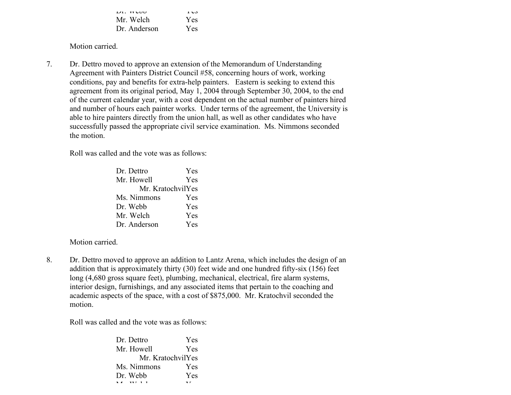| $LI.$ YY LUU | دن 1 |
|--------------|------|
| Mr. Welch    | Yes. |
| Dr. Anderson | Yes. |

7. Dr. Dettro moved to approve an extension of the Memorandum of Understanding Agreement with Painters District Council #58, concerning hours of work, working conditions, pay and benefits for extra-help painters. Eastern is seeking to extend this agreement from its original period, May 1, 2004 through September 30, 2004, to the end of the current calendar year, with a cost dependent on the actual number of painters hired and number of hours each painter works. Under terms of the agreement, the University is able to hire painters directly from the union hall, as well as other candidates who have successfully passed the appropriate civil service examination. Ms. Nimmons seconded the motion.

Roll was called and the vote was as follows:

| Dr. Dettro        | <b>Yes</b> |
|-------------------|------------|
| Mr. Howell        | Yes        |
| Mr. KratochvilYes |            |
| Ms. Nimmons       | <b>Yes</b> |
| Dr. Webb          | <b>Yes</b> |
| Mr. Welch         | Yes        |
| Dr. Anderson      | Yes        |

Motion carried.

8. Dr. Dettro moved to approve an addition to Lantz Arena, which includes the design of an addition that is approximately thirty (30) feet wide and one hundred fifty-six (156) feet long (4,680 gross square feet), plumbing, mechanical, electrical, fire alarm systems, interior design, furnishings, and any associated items that pertain to the coaching and academic aspects of the space, with a cost of \$875,000. Mr. Kratochvil seconded the motion.

Roll was called and the vote was as follows:

| Dr. Dettro        | Yes        |  |
|-------------------|------------|--|
| Mr. Howell        | Yes        |  |
| Mr. KratochvilYes |            |  |
| Ms. Nimmons       | <b>Yes</b> |  |
| Dr. Webb          | Yes        |  |
|                   |            |  |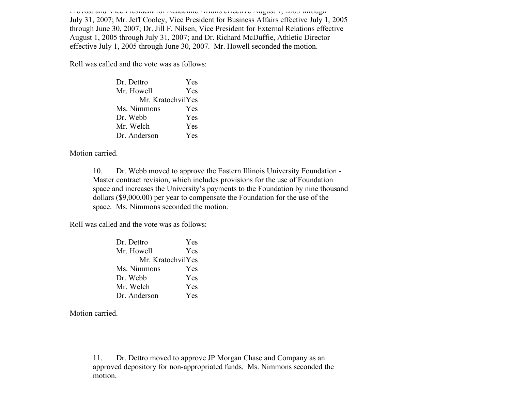Provost and Vice President for Academic Affairs effective August 1, 2005 through July 31, 2007; Mr. Jeff Cooley, Vice President for Business Affairs effective July 1, 2005 through June 30, 2007; Dr. Jill F. Nilsen, Vice President for External Relations effective August 1, 2005 through July 31, 2007; and Dr. Richard McDuffie, Athletic Director effective July 1, 2005 through June 30, 2007. Mr. Howell seconded the motion.

Roll was called and the vote was as follows:

| Dr. Dettro        | Yes |  |
|-------------------|-----|--|
| Mr. Howell        | Yes |  |
| Mr. KratochvilYes |     |  |
| Ms. Nimmons       | Yes |  |
| Dr. Webb          | Yes |  |
| Mr. Welch         | Yes |  |
| Dr. Anderson      | Yes |  |

Motion carried.

10. Dr. Webb moved to approve the Eastern Illinois University Foundation - Master contract revision, which includes provisions for the use of Foundation space and increases the University's payments to the Foundation by nine thousand dollars (\$9,000.00) per year to compensate the Foundation for the use of the space. Ms. Nimmons seconded the motion.

Roll was called and the vote was as follows:

| Dr. Dettro        | Yes |  |
|-------------------|-----|--|
| Mr. Howell        | Yes |  |
| Mr. KratochvilYes |     |  |
| Ms. Nimmons       | Yes |  |
| Dr. Webb          | Yes |  |
| Mr. Welch         | Yes |  |
| Dr. Anderson      | Yes |  |

Motion carried.

11. Dr. Dettro moved to approve JP Morgan Chase and Company as an approved depository for non-appropriated funds. Ms. Nimmons seconded the motion.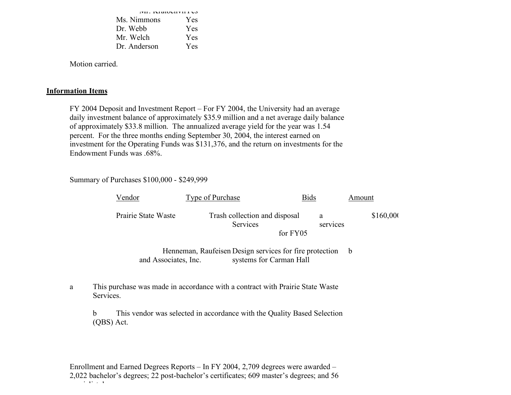| <b>PH.</b> IMARUMITI LO |            |  |
|-------------------------|------------|--|
| Ms. Nimmons             | Yes        |  |
| Dr. Webb                | Yes        |  |
| Mr. Welch               | <b>Yes</b> |  |
| Dr. Anderson            | Yes        |  |

## **Information Items**

FY 2004 Deposit and Investment Report – For FY 2004, the University had an average daily investment balance of approximately \$35.9 million and a net average daily balance of approximately \$33.8 million. The annualized average yield for the year was 1.54 percent. For the three months ending September 30, 2004, the interest earned on investment for the Operating Funds was \$131,376, and the return on investments for the Endowment Funds was .68%.

## Summary of Purchases \$100,000 - \$249,999

| Vendor               | <b>Type of Purchase</b>                                                            | <u>Bids</u>   | Amount    |
|----------------------|------------------------------------------------------------------------------------|---------------|-----------|
| Prairie State Waste  | Trash collection and disposal<br>Services                                          | a<br>services | \$160,000 |
|                      |                                                                                    | for FY05      |           |
| and Associates, Inc. | Henneman, Raufeisen Design services for fire protection<br>systems for Carman Hall |               | b         |

# a This purchase was made in accordance with a contract with Prairie State Waste Services.

b This vendor was selected in accordance with the Quality Based Selection (QBS) Act.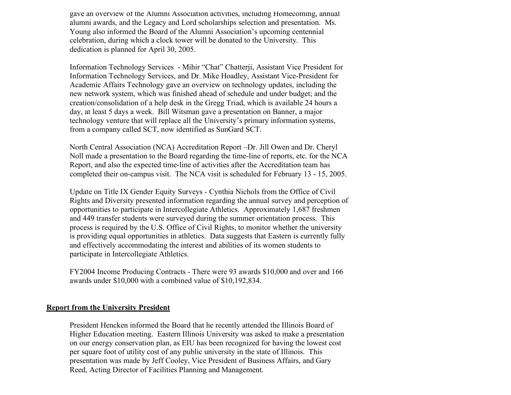gave an overview of the Alumni Association activities, including Homecoming, annual alumni awards, and the Legacy and Lord scholarships selection and presentation. Ms. Young also informed the Board of the Alumni Association's upcoming centennial celebration, during which a clock tower will be donated to the University. This dedication is planned for April 30, 2005.

Information Technology Services - Mihir "Chat" Chatterji, Assistant Vice President for Information Technology Services, and Dr. Mike Hoadley, Assistant Vice-President for Academic Affairs Technology gave an overview on technology updates, including the new network system, which was finished ahead of schedule and under budget; and the creation/consolidation of a help desk in the Gregg Triad, which is available 24 hours a day, at least 5 days a week. Bill Witsman gave a presentation on Banner, a major technology venture that will replace all the University's primary information systems, from a company called SCT, now identified as SunGard SCT.

North Central Association (NCA) Accreditation Report –Dr. Jill Owen and Dr. Cheryl Noll made a presentation to the Board regarding the time-line of reports, etc. for the NCA Report, and also the expected time-line of activities after the Accreditation team has completed their on-campus visit. The NCA visit is scheduled for February 13 - 15, 2005.

Update on Title IX Gender Equity Surveys - Cynthia Nichols from the Office of Civil Rights and Diversity presented information regarding the annual survey and perception of opportunities to participate in Intercollegiate Athletics. Approximately 1,687 freshmen and 449 transfer students were surveyed during the summer orientation process. This process is required by the U.S. Office of Civil Rights, to monitor whether the university is providing equal opportunities in athletics. Data suggests that Eastern is currently fully and effectively accommodating the interest and abilities of its women students to participate in Intercollegiate Athletics.

FY2004 Income Producing Contracts - There were 93 awards \$10,000 and over and 166 awards under \$10,000 with a combined value of \$10,192,834.

#### **Report from the University President**

President Hencken informed the Board that he recently attended the Illinois Board of Higher Education meeting. Eastern Illinois University was asked to make a presentation on our energy conservation plan, as EIU has been recognized for having the lowest cost per square foot of utility cost of any public university in the state of Illinois. This presentation was made by Jeff Cooley, Vice President of Business Affairs, and Gary Reed, Acting Director of Facilities Planning and Management.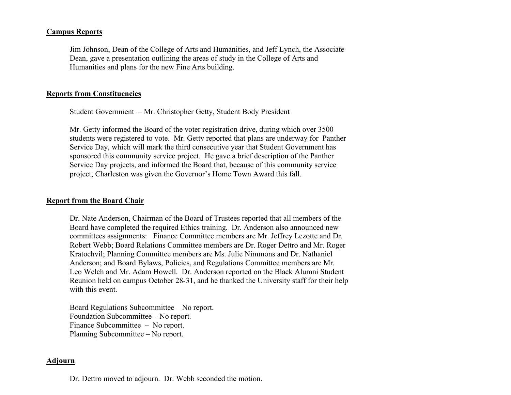## **Campus Reports**

Jim Johnson, Dean of the College of Arts and Humanities, and Jeff Lynch, the Associate Dean, gave a presentation outlining the areas of study in the College of Arts and Humanities and plans for the new Fine Arts building.

## **Reports from Constituencies**

Student Government – Mr. Christopher Getty, Student Body President

Mr. Getty informed the Board of the voter registration drive, during which over 3500 students were registered to vote. Mr. Getty reported that plans are underway for Panther Service Day, which will mark the third consecutive year that Student Government has sponsored this community service project. He gave a brief description of the Panther Service Day projects, and informed the Board that, because of this community service project, Charleston was given the Governor's Home Town Award this fall.

### **Report from the Board Chair**

Dr. Nate Anderson, Chairman of the Board of Trustees reported that all members of the Board have completed the required Ethics training. Dr. Anderson also announced new committees assignments: Finance Committee members are Mr. Jeffrey Lezotte and Dr. Robert Webb; Board Relations Committee members are Dr. Roger Dettro and Mr. Roger Kratochvil; Planning Committee members are Ms. Julie Nimmons and Dr. Nathaniel Anderson; and Board Bylaws, Policies, and Regulations Committee members are Mr. Leo Welch and Mr. Adam Howell. Dr. Anderson reported on the Black Alumni Student Reunion held on campus October 28-31, and he thanked the University staff for their help with this event.

Board Regulations Subcommittee – No report. Foundation Subcommittee – No report. Finance Subcommittee – No report. Planning Subcommittee – No report.

### **Adjourn**

Dr. Dettro moved to adjourn. Dr. Webb seconded the motion.